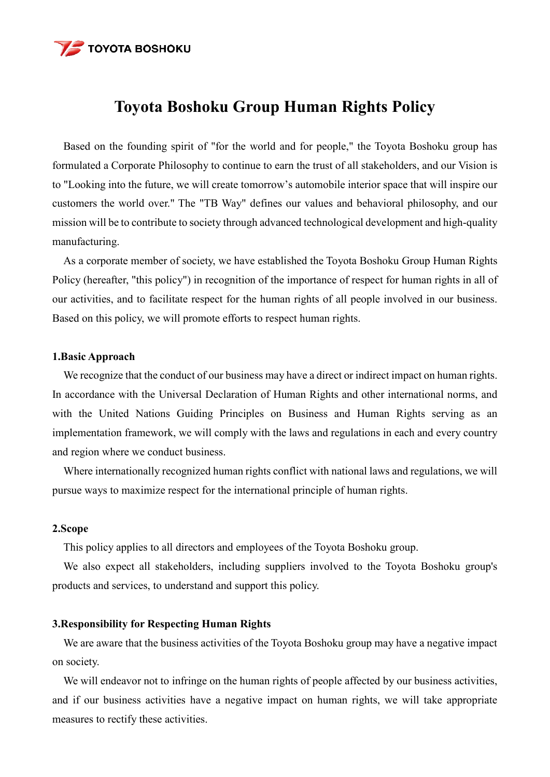

# **Toyota Boshoku Group Human Rights Policy**

Based on the founding spirit of "for the world and for people," the Toyota Boshoku group has formulated a Corporate Philosophy to continue to earn the trust of all stakeholders, and our Vision is to "Looking into the future, we will create tomorrow's automobile interior space that will inspire our customers the world over." The "TB Way" defines our values and behavioral philosophy, and our mission will be to contribute to society through advanced technological development and high-quality manufacturing.

As a corporate member of society, we have established the Toyota Boshoku Group Human Rights Policy (hereafter, "this policy") in recognition of the importance of respect for human rights in all of our activities, and to facilitate respect for the human rights of all people involved in our business. Based on this policy, we will promote efforts to respect human rights.

#### **1.Basic Approach**

We recognize that the conduct of our business may have a direct or indirect impact on human rights. In accordance with the Universal Declaration of Human Rights and other international norms, and with the United Nations Guiding Principles on Business and Human Rights serving as an implementation framework, we will comply with the laws and regulations in each and every country and region where we conduct business.

Where internationally recognized human rights conflict with national laws and regulations, we will pursue ways to maximize respect for the international principle of human rights.

#### **2.Scope**

This policy applies to all directors and employees of the Toyota Boshoku group.

We also expect all stakeholders, including suppliers involved to the Toyota Boshoku group's products and services, to understand and support this policy.

#### **3.Responsibility for Respecting Human Rights**

We are aware that the business activities of the Toyota Boshoku group may have a negative impact on society.

We will endeavor not to infringe on the human rights of people affected by our business activities, and if our business activities have a negative impact on human rights, we will take appropriate measures to rectify these activities.